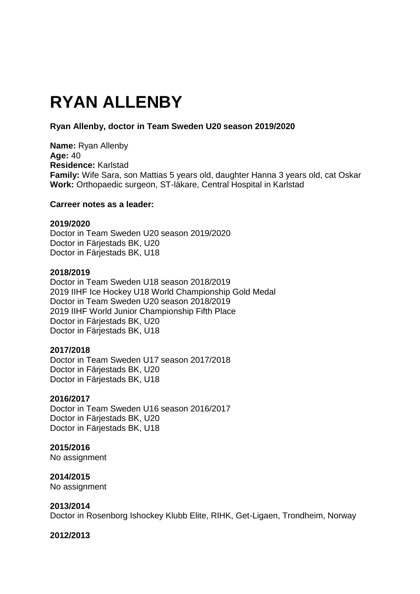# **RYAN ALLENBY**

# **Ryan Allenby, doctor in Team Sweden U20 season 2019/2020**

**Name:** Ryan Allenby **Age:** 40 **Residence:** Karlstad **Family:** Wife Sara, son Mattias 5 years old, daughter Hanna 3 years old, cat Oskar **Work:** Orthopaedic surgeon, ST-läkare, Central Hospital in Karlstad

#### **Carreer notes as a leader:**

#### **2019/2020**

Doctor in Team Sweden U20 season 2019/2020 Doctor in Färjestads BK, U20 Doctor in Färjestads BK, U18

#### **2018/2019**

Doctor in Team Sweden U18 season 2018/2019 2019 IIHF Ice Hockey U18 World Championship Gold Medal Doctor in Team Sweden U20 season 2018/2019 2019 IIHF World Junior Championship Fifth Place Doctor in Färjestads BK, U20 Doctor in Färjestads BK, U18

## **2017/2018**

Doctor in Team Sweden U17 season 2017/2018 Doctor in Färjestads BK, U20 Doctor in Färjestads BK, U18

#### **2016/2017**

Doctor in Team Sweden U16 season 2016/2017 Doctor in Färjestads BK, U20 Doctor in Färjestads BK, U18

## **2015/2016**

No assignment

# **2014/2015**

No assignment

## **2013/2014**

Doctor in Rosenborg Ishockey Klubb Elite, RIHK, Get-Ligaen, Trondheim, Norway

#### **2012/2013**